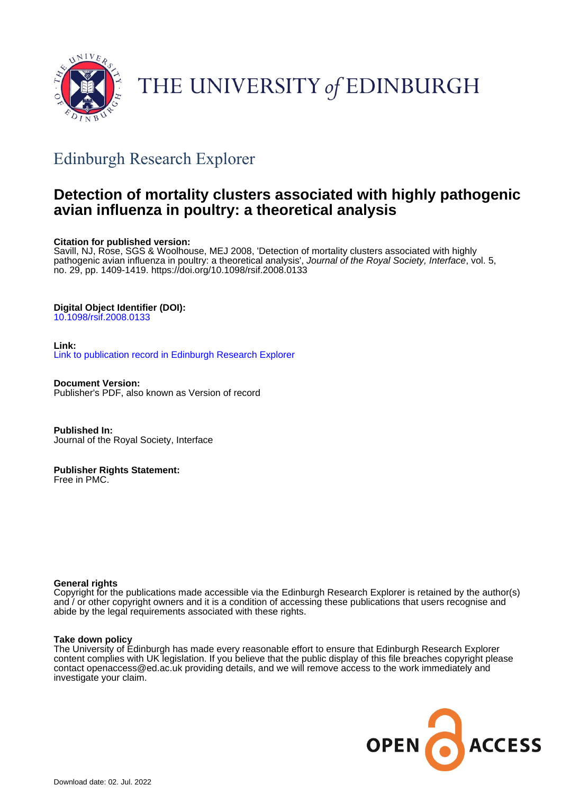

# THE UNIVERSITY of EDINBURGH

## Edinburgh Research Explorer

## **Detection of mortality clusters associated with highly pathogenic avian influenza in poultry: a theoretical analysis**

## **Citation for published version:**

Savill, NJ, Rose, SGS & Woolhouse, MEJ 2008, 'Detection of mortality clusters associated with highly pathogenic avian influenza in poultry: a theoretical analysis', Journal of the Royal Society, Interface, vol. 5, no. 29, pp. 1409-1419.<https://doi.org/10.1098/rsif.2008.0133>

## **Digital Object Identifier (DOI):**

[10.1098/rsif.2008.0133](https://doi.org/10.1098/rsif.2008.0133)

## **Link:**

[Link to publication record in Edinburgh Research Explorer](https://www.research.ed.ac.uk/en/publications/f380f2b1-f4dc-4166-87f3-53d3d585ca83)

**Document Version:** Publisher's PDF, also known as Version of record

**Published In:** Journal of the Royal Society, Interface

#### **Publisher Rights Statement:** Free in PMC.

## **General rights**

Copyright for the publications made accessible via the Edinburgh Research Explorer is retained by the author(s) and / or other copyright owners and it is a condition of accessing these publications that users recognise and abide by the legal requirements associated with these rights.

## **Take down policy**

The University of Edinburgh has made every reasonable effort to ensure that Edinburgh Research Explorer content complies with UK legislation. If you believe that the public display of this file breaches copyright please contact openaccess@ed.ac.uk providing details, and we will remove access to the work immediately and investigate your claim.

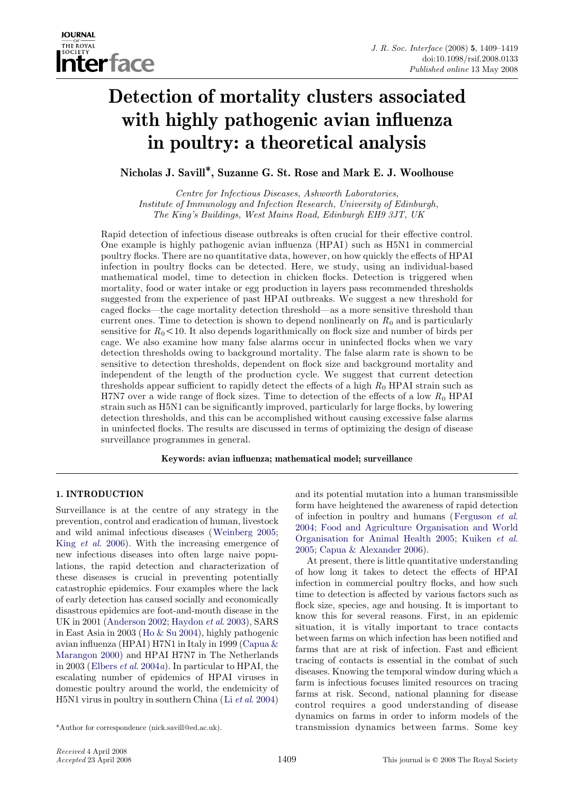

# Detection of mortality clusters associated with highly pathogenic avian influenza in poultry: a theoretical analysis

Nicholas J. Savill\*, Suzanne G. St. Rose and Mark E. J. Woolhouse

Centre for Infectious Diseases, Ashworth Laboratories, Institute of Immunology and Infection Research, University of Edinburgh, The King's Buildings, West Mains Road, Edinburgh EH9 3JT, UK

Rapid detection of infectious disease outbreaks is often crucial for their effective control. One example is highly pathogenic avian influenza (HPAI ) such as H5N1 in commercial poultry flocks. There are no quantitative data, however, on how quickly the effects of HPAI infection in poultry flocks can be detected. Here, we study, using an individual-based mathematical model, time to detection in chicken flocks. Detection is triggered when mortality, food or water intake or egg production in layers pass recommended thresholds suggested from the experience of past HPAI outbreaks. We suggest a new threshold for caged flocks—the cage mortality detection threshold—as a more sensitive threshold than current ones. Time to detection is shown to depend nonlinearly on  $R_0$  and is particularly sensitive for  $R_0 < 10$ . It also depends logarithmically on flock size and number of birds per cage. We also examine how many false alarms occur in uninfected flocks when we vary detection thresholds owing to background mortality. The false alarm rate is shown to be sensitive to detection thresholds, dependent on flock size and background mortality and independent of the length of the production cycle. We suggest that current detection thresholds appear sufficient to rapidly detect the effects of a high  $R_0$  HPAI strain such as H7N7 over a wide range of flock sizes. Time to detection of the effects of a low  $R_0$  HPAI strain such as H5N1 can be significantly improved, particularly for large flocks, by lowering detection thresholds, and this can be accomplished without causing excessive false alarms in uninfected flocks. The results are discussed in terms of optimizing the design of disease surveillance programmes in general.

Keywords: avian influenza; mathematical model; surveillance

## 1. INTRODUCTION

Surveillance is at the centre of any strategy in the prevention, control and eradication of human, livestock and wild animal infectious diseases ([Weinberg 2005;](#page-11-0) King et al[. 2006\)](#page-11-0). With the increasing emergence of new infectious diseases into often large naive populations, the rapid detection and characterization of these diseases is crucial in preventing potentially catastrophic epidemics. Four examples where the lack of early detection has caused socially and economically disastrous epidemics are foot-and-mouth disease in the UK in 2001 [\(Anderson 2002;](#page-10-0) [Haydon](#page-11-0) et al. 2003), SARS in East Asia in 2003 ([Ho & Su 2004\)](#page-11-0), highly pathogenic avian influenza (HPAI) H7N1 in Italy in 1999 (Capua  $\&$ [Marangon 2000\)](#page-11-0) and HPAI H7N7 in The Netherlands in 2003 ([Elbers](#page-11-0) et al. 2004a). In particular to HPAI, the escalating number of epidemics of HPAI viruses in domestic poultry around the world, the endemicity of H5N1 virus in poultry in southern China (Li et al[. 2004\)](#page-11-0) and its potential mutation into a human transmissible form have heightened the awareness of rapid detection of infection in poultry and humans ([Ferguson](#page-11-0) et al. [2004](#page-11-0); [Food and Agriculture Organisation and World](#page-11-0) [Organisation for Animal Health 2005](#page-11-0); [Kuiken](#page-11-0) et al. [2005](#page-11-0); [Capua & Alexander 2006](#page-11-0)).

At present, there is little quantitative understanding of how long it takes to detect the effects of HPAI infection in commercial poultry flocks, and how such time to detection is affected by various factors such as flock size, species, age and housing. It is important to know this for several reasons. First, in an epidemic situation, it is vitally important to trace contacts between farms on which infection has been notified and farms that are at risk of infection. Fast and efficient tracing of contacts is essential in the combat of such diseases. Knowing the temporal window during which a farm is infectious focuses limited resources on tracing farms at risk. Second, national planning for disease control requires a good understanding of disease dynamics on farms in order to inform models of the transmission dynamics between farms. Some key

<sup>\*</sup>Author for correspondence (nick.savill@ed.ac.uk).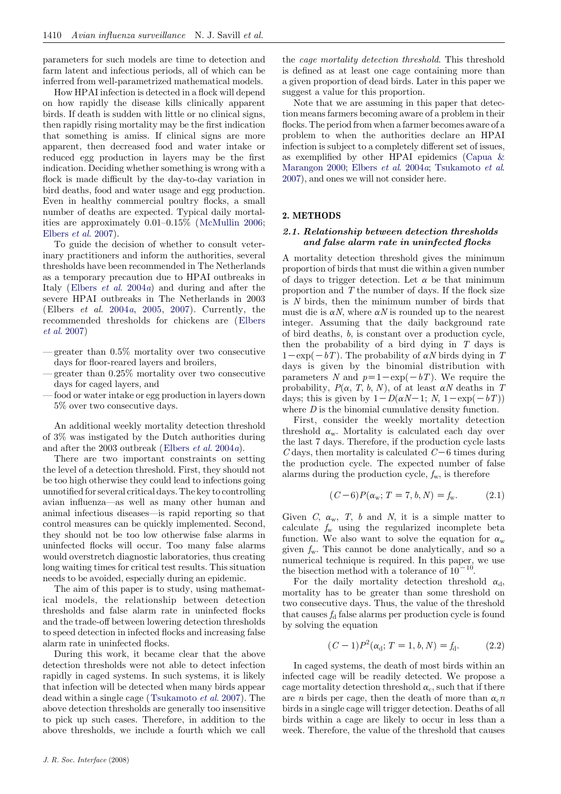parameters for such models are time to detection and farm latent and infectious periods, all of which can be inferred from well-parametrized mathematical models.

How HPAI infection is detected in a flock will depend on how rapidly the disease kills clinically apparent birds. If death is sudden with little or no clinical signs, then rapidly rising mortality may be the first indication that something is amiss. If clinical signs are more apparent, then decreased food and water intake or reduced egg production in layers may be the first indication. Deciding whether something is wrong with a flock is made difficult by the day-to-day variation in bird deaths, food and water usage and egg production. Even in healthy commercial poultry flocks, a small number of deaths are expected. Typical daily mortalities are approximately 0.01–0.15% ([McMullin 2006;](#page-11-0) [Elbers](#page-11-0) et al. 2007).

To guide the decision of whether to consult veterinary practitioners and inform the authorities, several thresholds have been recommended in The Netherlands as a temporary precaution due to HPAI outbreaks in Italy ([Elbers](#page-11-0) et al. 2004a) and during and after the severe HPAI outbreaks in The Netherlands in 2003 (Elbers et al. [2004](#page-11-0)a, [2005,](#page-11-0) [2007](#page-11-0)). Currently, the recommended thresholds for chickens are ([Elbers](#page-11-0) et al[. 2007](#page-11-0))

- greater than  $0.5\%$  mortality over two consecutive days for floor-reared layers and broilers,
- greater than  $0.25\%$  mortality over two consecutive days for caged layers, and
- food or water intake or egg production in layers down 5% over two consecutive days.

An additional weekly mortality detection threshold of 3% was instigated by the Dutch authorities during and after the 2003 outbreak ([Elbers](#page-11-0) et al. 2004a).

There are two important constraints on setting the level of a detection threshold. First, they should not be too high otherwise they could lead to infections going unnotified for several critical days. The key to controlling avian influenza—as well as many other human and animal infectious diseases—is rapid reporting so that control measures can be quickly implemented. Second, they should not be too low otherwise false alarms in uninfected flocks will occur. Too many false alarms would overstretch diagnostic laboratories, thus creating long waiting times for critical test results. This situation needs to be avoided, especially during an epidemic.

The aim of this paper is to study, using mathematical models, the relationship between detection thresholds and false alarm rate in uninfected flocks and the trade-off between lowering detection thresholds to speed detection in infected flocks and increasing false alarm rate in uninfected flocks.

During this work, it became clear that the above detection thresholds were not able to detect infection rapidly in caged systems. In such systems, it is likely that infection will be detected when many birds appear dead within a single cage ([Tsukamoto](#page-11-0) et al. 2007). The above detection thresholds are generally too insensitive to pick up such cases. Therefore, in addition to the above thresholds, we include a fourth which we call the cage mortality detection threshold. This threshold is defined as at least one cage containing more than a given proportion of dead birds. Later in this paper we suggest a value for this proportion.

Note that we are assuming in this paper that detection means farmers becoming aware of a problem in their flocks. The period from when a farmer becomes aware of a problem to when the authorities declare an HPAI infection is subject to a completely different set of issues, as exemplified by other HPAI epidemics [\(Capua &](#page-11-0) [Marangon 2000](#page-11-0); [Elbers](#page-11-0) et al. 2004a; [Tsukamoto](#page-11-0) et al. [2007\)](#page-11-0), and ones we will not consider here.

#### 2. METHODS

#### 2.1. Relationship between detection thresholds and false alarm rate in uninfected flocks

A mortality detection threshold gives the minimum proportion of birds that must die within a given number of days to trigger detection. Let  $\alpha$  be that minimum proportion and  $T$  the number of days. If the flock size is N birds, then the minimum number of birds that must die is  $\alpha N$ , where  $\alpha N$  is rounded up to the nearest integer. Assuming that the daily background rate of bird deaths, b, is constant over a production cycle, then the probability of a bird dying in  $T$  days is  $1-\exp(-bT)$ . The probability of  $\alpha N$  birds dying in T days is given by the binomial distribution with parameters N and  $p=1-\exp(-bT)$ . We require the probability,  $P(\alpha, T, b, N)$ , of at least  $\alpha N$  deaths in T days; this is given by  $1-D(\alpha N-1; N, 1-\exp(-bT))$ where D is the binomial cumulative density function.

First, consider the weekly mortality detection threshold  $\alpha_{\rm w}$ . Mortality is calculated each day over the last 7 days. Therefore, if the production cycle lasts C days, then mortality is calculated  $C-6$  times during the production cycle. The expected number of false alarms during the production cycle,  $f_{\rm w}$ , is therefore

$$
(C-6)P(\alpha_{\rm w}; T=7, b, N) = f_{\rm w}.
$$
 (2.1)

Given C,  $\alpha_{\rm w}$ , T, b and N, it is a simple matter to calculate  $f_{\rm w}$  using the regularized incomplete beta function. We also want to solve the equation for  $\alpha_{\rm w}$ given  $f_w$ . This cannot be done analytically, and so a numerical technique is required. In this paper, we use the bisection method with a tolerance of  $10^{-10}$ .

For the daily mortality detection threshold  $\alpha_d$ , mortality has to be greater than some threshold on two consecutive days. Thus, the value of the threshold that causes  $f_d$  false alarms per production cycle is found by solving the equation

$$
(C-1)P2(\alpha_d; T = 1, b, N) = f_d.
$$
 (2.2)

In caged systems, the death of most birds within an infected cage will be readily detected. We propose a cage mortality detection threshold  $\alpha_c$ , such that if there are *n* birds per cage, then the death of more than  $\alpha_c n$ birds in a single cage will trigger detection. Deaths of all birds within a cage are likely to occur in less than a week. Therefore, the value of the threshold that causes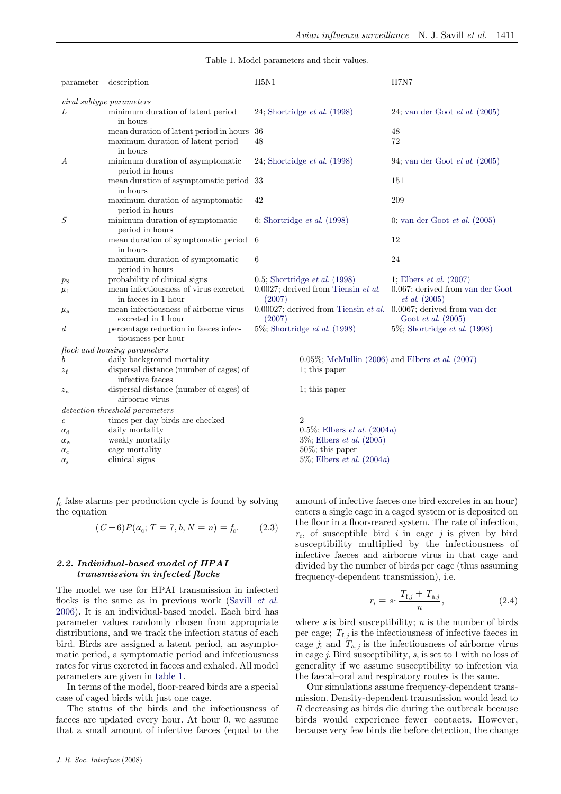<span id="page-3-0"></span>

| parameter                            | description                                                                     | H5N1                                                             | H7N7                                                        |
|--------------------------------------|---------------------------------------------------------------------------------|------------------------------------------------------------------|-------------------------------------------------------------|
| <i>viral subtype parameters</i>      |                                                                                 |                                                                  |                                                             |
| L                                    | minimum duration of latent period                                               | 24; Shortridge <i>et al.</i> $(1998)$                            | 24; van der Goot et al. $(2005)$                            |
|                                      | in hours                                                                        |                                                                  |                                                             |
|                                      | mean duration of latent period in hours 36<br>maximum duration of latent period | 48                                                               | 48<br>72                                                    |
|                                      | in hours                                                                        |                                                                  |                                                             |
| A                                    | minimum duration of asymptomatic                                                | 24; Shortridge <i>et al.</i> $(1998)$                            | 94; van der Goot et al. $(2005)$                            |
|                                      | period in hours                                                                 |                                                                  |                                                             |
|                                      | mean duration of asymptomatic period 33<br>in hours                             |                                                                  | 151                                                         |
|                                      | maximum duration of asymptomatic<br>period in hours                             | 42                                                               | 209                                                         |
| $\cal S$                             | minimum duration of symptomatic<br>period in hours                              | 6; Shortridge <i>et al.</i> $(1998)$                             | 0; van der Goot et al. $(2005)$                             |
|                                      | mean duration of symptomatic period 6<br>in hours                               |                                                                  | 12                                                          |
|                                      | maximum duration of symptomatic                                                 | 6                                                                | 24                                                          |
|                                      | period in hours                                                                 |                                                                  |                                                             |
| $p_{\rm S}$                          | probability of clinical signs                                                   | 0.5; Shortridge <i>et al.</i> $(1998)$                           | 1; Elbers <i>et al.</i> $(2007)$                            |
| $\mu_{\rm f}$                        | mean infectiousness of virus excreted<br>in faeces in 1 hour                    | $0.0027$ ; derived from Tiensin et al.<br>(2007)                 | 0.067; derived from van der Goot<br>$et\ al.\ (2005)$       |
| $\mu_{\rm a}$                        | mean infectiousness of airborne virus<br>excreted in 1 hour                     | $0.00027$ ; derived from Tiensin et al.<br>(2007)                | 0.0067; derived from van der<br>Goot <i>et al.</i> $(2005)$ |
| $\boldsymbol{d}$                     | percentage reduction in facces infec-<br>tiousness per hour                     | $5\%;$ Shortridge <i>et al.</i> (1998)                           | 5%; Shortridge et al. $(1998)$                              |
| flock and housing parameters         |                                                                                 |                                                                  |                                                             |
| $\boldsymbol{b}$                     | daily background mortality                                                      | $0.05\%$ ; McMullin (2006) and Elbers <i>et al.</i> (2007)       |                                                             |
| $z_{\rm f}$                          | dispersal distance (number of cages) of                                         | $1$ ; this paper                                                 |                                                             |
|                                      | infective faeces                                                                |                                                                  |                                                             |
| $z_{\rm a}$                          | dispersal distance (number of cages) of<br>airborne virus                       | $1;$ this paper                                                  |                                                             |
| detection threshold parameters       |                                                                                 |                                                                  |                                                             |
| с                                    | times per day birds are checked                                                 | 2                                                                |                                                             |
| $\alpha_{\rm d}$                     | daily mortality                                                                 | 0.5%; Elbers <i>et al.</i> $(2004a)$<br>3%; Elbers et al. (2005) |                                                             |
| $\alpha_{\rm w}$                     | weekly mortality<br>cage mortality                                              | $50\%$ ; this paper                                              |                                                             |
| $\alpha_{\rm c}$<br>$\alpha_{\rm s}$ | clinical signs                                                                  | 5%; Elbers et al. $(2004a)$                                      |                                                             |
|                                      |                                                                                 |                                                                  |                                                             |

Table 1. Model parameters and their values.

 $f_c$  false alarms per production cycle is found by solving the equation

$$
(C-6)P(\alpha_c; T=7, b, N=n) = f_c.
$$
 (2.3)

#### 2.2. Individual-based model of HPAI transmission in infected flocks

The model we use for HPAI transmission in infected flocks is the same as in previous work [\(Savill](#page-11-0) *et al.*) [2006](#page-11-0)). It is an individual-based model. Each bird has parameter values randomly chosen from appropriate distributions, and we track the infection status of each bird. Birds are assigned a latent period, an asymptomatic period, a symptomatic period and infectiousness rates for virus excreted in faeces and exhaled. All model parameters are given in table 1.

In terms of the model, floor-reared birds are a special case of caged birds with just one cage.

The status of the birds and the infectiousness of faeces are updated every hour. At hour 0, we assume that a small amount of infective faeces (equal to the

J. R. Soc. Interface (2008)

amount of infective faeces one bird excretes in an hour) enters a single cage in a caged system or is deposited on the floor in a floor-reared system. The rate of infection,  $r_i$ , of susceptible bird i in cage j is given by bird susceptibility multiplied by the infectiousness of infective faeces and airborne virus in that cage and divided by the number of birds per cage (thus assuming frequency-dependent transmission), i.e.

$$
r_i = s \cdot \frac{T_{f,j} + T_{a,j}}{n},\tag{2.4}
$$

where  $s$  is bird susceptibility;  $n$  is the number of birds per cage;  $T_{f,j}$  is the infectiousness of infective faeces in cage j; and  $T_{a,i}$  is the infectiousness of airborne virus in cage j. Bird susceptibility, s, is set to 1 with no loss of generality if we assume susceptibility to infection via the faecal–oral and respiratory routes is the same.

Our simulations assume frequency-dependent transmission. Density-dependent transmission would lead to R decreasing as birds die during the outbreak because birds would experience fewer contacts. However, because very few birds die before detection, the change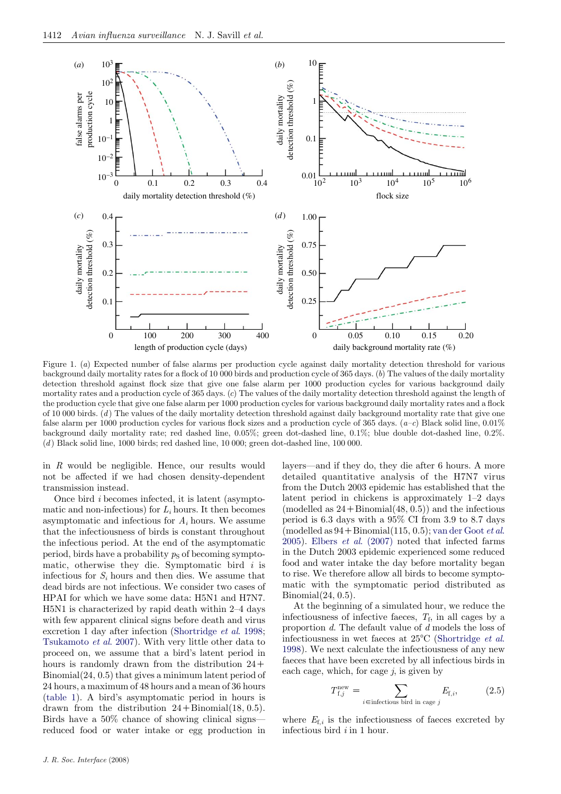<span id="page-4-0"></span>

Figure 1. (a) Expected number of false alarms per production cycle against daily mortality detection threshold for various background daily mortality rates for a flock of 10 000 birds and production cycle of 365 days. (b) The values of the daily mortality detection threshold against flock size that give one false alarm per 1000 production cycles for various background daily mortality rates and a production cycle of 365 days. (c) The values of the daily mortality detection threshold against the length of the production cycle that give one false alarm per 1000 production cycles for various background daily mortality rates and a flock of 10 000 birds. (d ) The values of the daily mortality detection threshold against daily background mortality rate that give one false alarm per 1000 production cycles for various flock sizes and a production cycle of 365 days.  $(a-c)$  Black solid line, 0.01% background daily mortality rate; red dashed line, 0.05%; green dot-dashed line, 0.1%; blue double dot-dashed line, 0.2%.  $(d)$  Black solid line, 1000 birds; red dashed line, 10 000; green dot-dashed line, 100 000.

in R would be negligible. Hence, our results would not be affected if we had chosen density-dependent transmission instead.

Once bird i becomes infected, it is latent (asymptomatic and non-infectious) for  $L_i$  hours. It then becomes asymptomatic and infectious for  $A_i$  hours. We assume that the infectiousness of birds is constant throughout the infectious period. At the end of the asymptomatic period, birds have a probability  $p<sub>S</sub>$  of becoming symptomatic, otherwise they die. Symptomatic bird  $i$  is infectious for  $S_i$  hours and then dies. We assume that dead birds are not infectious. We consider two cases of HPAI for which we have some data: H5N1 and H7N7. H5N1 is characterized by rapid death within 2–4 days with few apparent clinical signs before death and virus excretion 1 day after infection ([Shortridge](#page-11-0) et al. 1998; [Tsukamoto](#page-11-0) et al. 2007). With very little other data to proceed on, we assume that a bird's latent period in hours is randomly drawn from the distribution  $24+$ Binomial(24, 0.5) that gives a minimum latent period of 24 hours, a maximum of 48 hours and a mean of 36 hours [\(table 1\)](#page-3-0). A bird's asymptomatic period in hours is drawn from the distribution  $24+\text{Binomial}(18, 0.5)$ . Birds have a 50% chance of showing clinical signs reduced food or water intake or egg production in layers—and if they do, they die after 6 hours. A more detailed quantitative analysis of the H7N7 virus from the Dutch 2003 epidemic has established that the latent period in chickens is approximately 1–2 days (modelled as  $24+\text{Binomial}(48, 0.5)$ ) and the infectious period is 6.3 days with a 95% CI from 3.9 to 8.7 days  $(modelled as 94+Binomial(115, 0.5); van der Goot *et al.*$  $(modelled as 94+Binomial(115, 0.5); van der Goot *et al.*$  $(modelled as 94+Binomial(115, 0.5); van der Goot *et al.*$ [2005](#page-11-0)). Elbers et al[. \(2007\)](#page-11-0) noted that infected farms in the Dutch 2003 epidemic experienced some reduced food and water intake the day before mortality began to rise. We therefore allow all birds to become symptomatic with the symptomatic period distributed as Binomial(24, 0.5).

At the beginning of a simulated hour, we reduce the infectiousness of infective faeces,  $T_f$ , in all cages by a proportion d. The default value of d models the loss of infectiousness in wet faeces at 25*8*C ([Shortridge](#page-11-0) et al. [1998](#page-11-0)). We next calculate the infectiousness of any new faeces that have been excreted by all infectious birds in each cage, which, for cage  $i$ , is given by

$$
T_{f,j}^{\text{new}} = \sum_{i \in \text{infections bird in cage } j} E_{f,i}, \tag{2.5}
$$

where  $E_{f,i}$  is the infectiousness of faeces excreted by infectious bird  $i$  in 1 hour.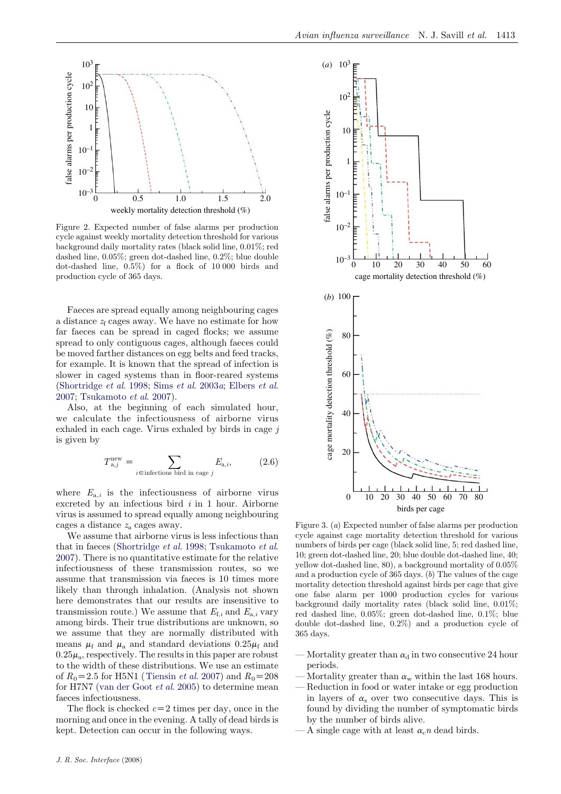<span id="page-5-0"></span>

Figure 2. Expected number of false alarms per production cycle against weekly mortality detection threshold for various background daily mortality rates (black solid line, 0.01%; red dashed line, 0.05%; green dot-dashed line, 0.2%; blue double dot-dashed line, 0.5%) for a flock of 10 000 birds and production cycle of 365 days.

Faeces are spread equally among neighbouring cages a distance  $z_f$  cages away. We have no estimate for how far faeces can be spread in caged flocks; we assume spread to only contiguous cages, although faeces could be moved farther distances on egg belts and feed tracks, for example. It is known that the spread of infection is slower in caged systems than in floor-reared systems [\(Shortridge](#page-11-0) et al. 1998; Sims et al[. 2003](#page-11-0)a; [Elbers](#page-11-0) et al. [2007](#page-11-0); [Tsukamoto](#page-11-0) et al. 2007).

Also, at the beginning of each simulated hour, we calculate the infectiousness of airborne virus exhaled in each cage. Virus exhaled by birds in cage  $j$ is given by

$$
T_{\text{a},j}^{\text{new}} = \sum_{i \in \text{infections bird in cage }j} E_{\text{a},i}, \tag{2.6}
$$

where  $E_{a,i}$  is the infectiousness of airborne virus excreted by an infectious bird  $i$  in 1 hour. Airborne virus is assumed to spread equally among neighbouring cages a distance z<sup>a</sup> cages away.

We assume that airborne virus is less infectious than that in faeces ([Shortridge](#page-11-0) et al. 1998; [Tsukamoto](#page-11-0) et al. [2007](#page-11-0)). There is no quantitative estimate for the relative infectiousness of these transmission routes, so we assume that transmission via faeces is 10 times more likely than through inhalation. (Analysis not shown here demonstrates that our results are insensitive to transmission route.) We assume that  $E_{\text{f},i}$  and  $E_{\text{a},i}$  vary among birds. Their true distributions are unknown, so we assume that they are normally distributed with means  $\mu_f$  and  $\mu_a$  and standard deviations 0.25 $\mu_f$  and  $0.25\mu_a$ , respectively. The results in this paper are robust to the width of these distributions. We use an estimate of  $R_0 = 2.5$  for H5N1 ([Tiensin](#page-11-0) *et al.* 2007) and  $R_0 = 208$ for H7N7 [\(van der Goot](#page-11-0) et al. 2005) to determine mean faeces infectiousness.

The flock is checked  $c=2$  times per day, once in the morning and once in the evening. A tally of dead birds is kept. Detection can occur in the following ways.



Figure 3. (a) Expected number of false alarms per production cycle against cage mortality detection threshold for various numbers of birds per cage (black solid line, 5; red dashed line, 10; green dot-dashed line, 20; blue double dot-dashed line, 40; yellow dot-dashed line, 80), a background mortality of 0.05% and a production cycle of  $365$  days. (b) The values of the cage mortality detection threshold against birds per cage that give one false alarm per 1000 production cycles for various background daily mortality rates (black solid line, 0.01%; red dashed line, 0.05%; green dot-dashed line, 0.1%; blue double dot-dashed line, 0.2%) and a production cycle of 365 days.

- Mortality greater than  $\alpha_d$  in two consecutive 24 hour periods.
- Mortality greater than  $\alpha_w$  within the last 168 hours.
- Reduction in food or water intake or egg production in layers of  $\alpha_s$  over two consecutive days. This is found by dividing the number of symptomatic birds by the number of birds alive.
- A single cage with at least  $\alpha_c n$  dead birds.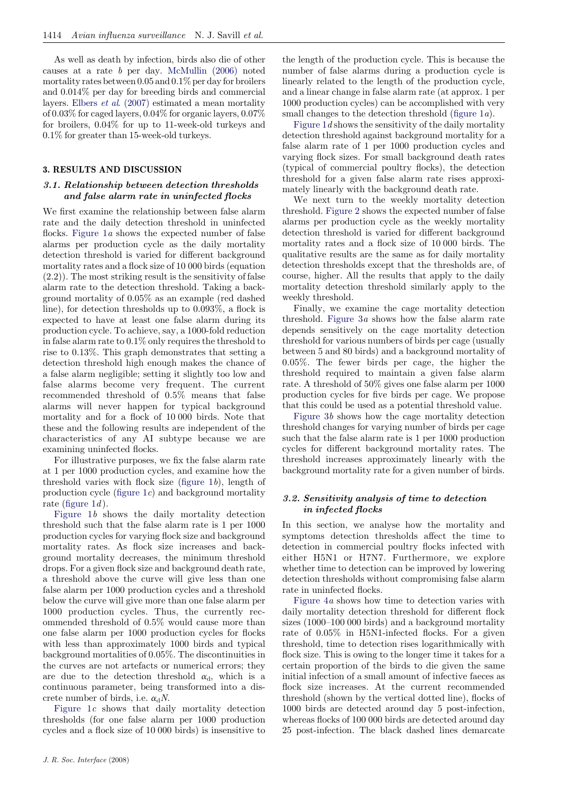As well as death by infection, birds also die of other causes at a rate b per day. [McMullin \(2006\)](#page-11-0) noted mortality rates between 0.05 and 0.1% per day for broilers and 0.014% per day for breeding birds and commercial layers. Elbers et al[. \(2007\)](#page-11-0) estimated a mean mortality of 0.03% for caged layers, 0.04% for organic layers, 0.07% for broilers, 0.04% for up to 11-week-old turkeys and 0.1% for greater than 15-week-old turkeys.

## 3. RESULTS AND DISCUSSION

### 3.1. Relationship between detection thresholds and false alarm rate in uninfected flocks

We first examine the relationship between false alarm rate and the daily detection threshold in uninfected flocks. Figure  $1a$  shows the expected number of false alarms per production cycle as the daily mortality detection threshold is varied for different background mortality rates and a flock size of 10 000 birds (equation (2.2)). The most striking result is the sensitivity of false alarm rate to the detection threshold. Taking a background mortality of 0.05% as an example (red dashed line), for detection thresholds up to 0.093%, a flock is expected to have at least one false alarm during its production cycle. To achieve, say, a 1000-fold reduction in false alarm rate to 0.1% only requires the threshold to rise to 0.13%. This graph demonstrates that setting a detection threshold high enough makes the chance of a false alarm negligible; setting it slightly too low and false alarms become very frequent. The current recommended threshold of 0.5% means that false alarms will never happen for typical background mortality and for a flock of 10 000 birds. Note that these and the following results are independent of the characteristics of any AI subtype because we are examining uninfected flocks.

For illustrative purposes, we fix the false alarm rate at 1 per 1000 production cycles, and examine how the threshold varies with flock size (figure  $1b$ ), length of production cycle (figure  $1c$ ) and background mortality rate (figure  $1d$ ).

[Figure 1](#page-4-0)b shows the daily mortality detection threshold such that the false alarm rate is 1 per 1000 production cycles for varying flock size and background mortality rates. As flock size increases and background mortality decreases, the minimum threshold drops. For a given flock size and background death rate, a threshold above the curve will give less than one false alarm per 1000 production cycles and a threshold below the curve will give more than one false alarm per 1000 production cycles. Thus, the currently recommended threshold of 0.5% would cause more than one false alarm per 1000 production cycles for flocks with less than approximately 1000 birds and typical background mortalities of 0.05%. The discontinuities in the curves are not artefacts or numerical errors; they are due to the detection threshold  $\alpha_d$ , which is a continuous parameter, being transformed into a discrete number of birds, i.e.  $\alpha_d N$ .

[Figure 1](#page-4-0)c shows that daily mortality detection thresholds (for one false alarm per 1000 production cycles and a flock size of 10 000 birds) is insensitive to the length of the production cycle. This is because the number of false alarms during a production cycle is linearly related to the length of the production cycle, and a linear change in false alarm rate (at approx. 1 per 1000 production cycles) can be accomplished with very small changes to the detection threshold (figure  $1a$ ).

Figure  $1d$  shows the sensitivity of the daily mortality detection threshold against background mortality for a false alarm rate of 1 per 1000 production cycles and varying flock sizes. For small background death rates (typical of commercial poultry flocks), the detection threshold for a given false alarm rate rises approximately linearly with the background death rate.

We next turn to the weekly mortality detection threshold. [Figure 2](#page-5-0) shows the expected number of false alarms per production cycle as the weekly mortality detection threshold is varied for different background mortality rates and a flock size of 10 000 birds. The qualitative results are the same as for daily mortality detection thresholds except that the thresholds are, of course, higher. All the results that apply to the daily mortality detection threshold similarly apply to the weekly threshold.

Finally, we examine the cage mortality detection threshold. [Figure 3](#page-5-0)a shows how the false alarm rate depends sensitively on the cage mortality detection threshold for various numbers of birds per cage (usually between 5 and 80 birds) and a background mortality of 0.05%. The fewer birds per cage, the higher the threshold required to maintain a given false alarm rate. A threshold of 50% gives one false alarm per 1000 production cycles for five birds per cage. We propose that this could be used as a potential threshold value.

[Figure 3](#page-5-0)b shows how the cage mortality detection threshold changes for varying number of birds per cage such that the false alarm rate is 1 per 1000 production cycles for different background mortality rates. The threshold increases approximately linearly with the background mortality rate for a given number of birds.

## 3.2. Sensitivity analysis of time to detection in infected flocks

In this section, we analyse how the mortality and symptoms detection thresholds affect the time to detection in commercial poultry flocks infected with either H5N1 or H7N7. Furthermore, we explore whether time to detection can be improved by lowering detection thresholds without compromising false alarm rate in uninfected flocks.

[Figure 4](#page-8-0)a shows how time to detection varies with daily mortality detection threshold for different flock sizes (1000–100 000 birds) and a background mortality rate of 0.05% in H5N1-infected flocks. For a given threshold, time to detection rises logarithmically with flock size. This is owing to the longer time it takes for a certain proportion of the birds to die given the same initial infection of a small amount of infective faeces as flock size increases. At the current recommended threshold (shown by the vertical dotted line), flocks of 1000 birds are detected around day 5 post-infection, whereas flocks of 100 000 birds are detected around day 25 post-infection. The black dashed lines demarcate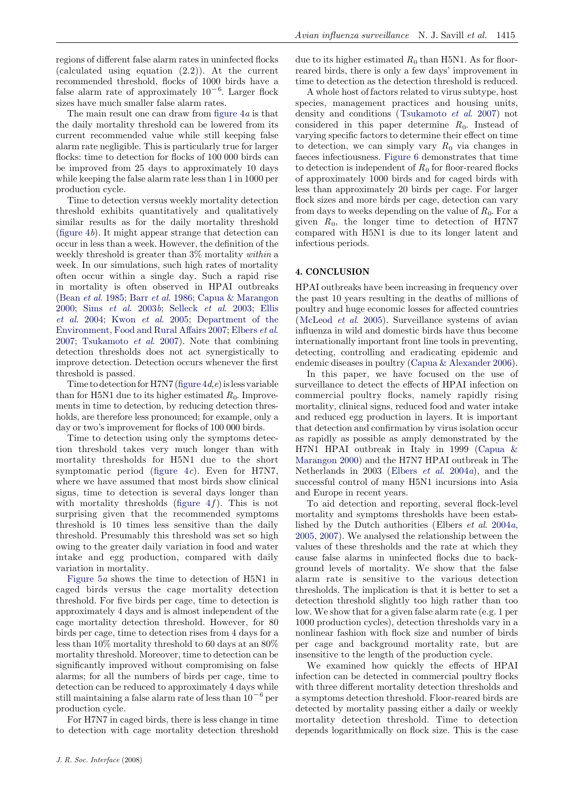regions of different false alarm rates in uninfected flocks (calculated using equation (2.2)). At the current recommended threshold, flocks of 1000 birds have a false alarm rate of approximately  $10^{-6}$ . Larger flock sizes have much smaller false alarm rates.

The main result one can draw from figure  $4a$  is that the daily mortality threshold can be lowered from its current recommended value while still keeping false alarm rate negligible. This is particularly true for larger flocks: time to detection for flocks of 100 000 birds can be improved from 25 days to approximately 10 days while keeping the false alarm rate less than 1 in 1000 per production cycle.

Time to detection versus weekly mortality detection threshold exhibits quantitatively and qualitatively similar results as for the daily mortality threshold [\(figure 4](#page-8-0)b). It might appear strange that detection can occur in less than a week. However, the definition of the weekly threshold is greater than 3% mortality within a week. In our simulations, such high rates of mortality often occur within a single day. Such a rapid rise in mortality is often observed in HPAI outbreaks (Bean et al[. 1985;](#page-10-0) Barr et al[. 1986](#page-10-0); [Capua & Marangon](#page-11-0) [2000](#page-11-0); Sims et al[. 2003](#page-11-0)b; [Selleck](#page-11-0) et al. 2003; [Ellis](#page-11-0) et al[. 2004;](#page-11-0) Kwon et al[. 2005](#page-11-0); [Department of the](#page-11-0) [Environment, Food and Rural Affairs 2007;](#page-11-0) [Elbers](#page-11-0) et al. [2007](#page-11-0); [Tsukamoto](#page-11-0) et al. 2007). Note that combining detection thresholds does not act synergistically to improve detection. Detection occurs whenever the first threshold is passed.

Time to detection for H7N7 (figure  $4d,e$ ) is less variable than for H5N1 due to its higher estimated  $R_0$ . Improvements in time to detection, by reducing detection thresholds, are therefore less pronounced; for example, only a day or two's improvement for flocks of 100 000 birds.

Time to detection using only the symptoms detection threshold takes very much longer than with mortality thresholds for H5N1 due to the short symptomatic period (figure  $4c$ ). Even for H7N7, where we have assumed that most birds show clinical signs, time to detection is several days longer than with mortality thresholds (figure  $4f$ ). This is not surprising given that the recommended symptoms threshold is 10 times less sensitive than the daily threshold. Presumably this threshold was set so high owing to the greater daily variation in food and water intake and egg production, compared with daily variation in mortality.

[Figure 5](#page-9-0)a shows the time to detection of H5N1 in caged birds versus the cage mortality detection threshold. For five birds per cage, time to detection is approximately 4 days and is almost independent of the cage mortality detection threshold. However, for 80 birds per cage, time to detection rises from 4 days for a less than 10% mortality threshold to 60 days at an 80% mortality threshold. Moreover, time to detection can be significantly improved without compromising on false alarms; for all the numbers of birds per cage, time to detection can be reduced to approximately 4 days while still maintaining a false alarm rate of less than  $10^{-6}$  per production cycle.

For H7N7 in caged birds, there is less change in time to detection with cage mortality detection threshold due to its higher estimated  $R_0$  than H5N1. As for floorreared birds, there is only a few days' improvement in time to detection as the detection threshold is reduced.

A whole host of factors related to virus subtype, host species, management practices and housing units, density and conditions ([Tsukamoto](#page-11-0) et al. 2007) not considered in this paper determine  $R_0$ . Instead of varying specific factors to determine their effect on time to detection, we can simply vary  $R_0$  via changes in faeces infectiousness. [Figure 6](#page-9-0) demonstrates that time to detection is independent of  $R_0$  for floor-reared flocks of approximately 1000 birds and for caged birds with less than approximately 20 birds per cage. For larger flock sizes and more birds per cage, detection can vary from days to weeks depending on the value of  $R_0$ . For a given  $R_0$ , the longer time to detection of H7N7 compared with H5N1 is due to its longer latent and infectious periods.

#### 4. CONCLUSION

HPAI outbreaks have been increasing in frequency over the past 10 years resulting in the deaths of millions of poultry and huge economic losses for affected countries ([McLeod](#page-11-0) et al. 2005). Surveillance systems of avian influenza in wild and domestic birds have thus become internationally important front line tools in preventing, detecting, controlling and eradicating epidemic and endemic diseases in poultry ([Capua & Alexander 2006\)](#page-11-0).

In this paper, we have focused on the use of surveillance to detect the effects of HPAI infection on commercial poultry flocks, namely rapidly rising mortality, clinical signs, reduced food and water intake and reduced egg production in layers. It is important that detection and confirmation by virus isolation occur as rapidly as possible as amply demonstrated by the H7N1 HPAI outbreak in Italy in 1999 [\(Capua &](#page-11-0) [Marangon 2000](#page-11-0)) and the H7N7 HPAI outbreak in The Netherlands in 2003 (Elbers et al[. 2004](#page-11-0)a), and the successful control of many H5N1 incursions into Asia and Europe in recent years.

To aid detection and reporting, several flock-level mortality and symptoms thresholds have been established by the Dutch authorities (Elbers et al. [2004](#page-11-0)a, [2005](#page-11-0), [2007\)](#page-11-0). We analysed the relationship between the values of these thresholds and the rate at which they cause false alarms in uninfected flocks due to background levels of mortality. We show that the false alarm rate is sensitive to the various detection thresholds. The implication is that it is better to set a detection threshold slightly too high rather than too low. We show that for a given false alarm rate (e.g. 1 per 1000 production cycles), detection thresholds vary in a nonlinear fashion with flock size and number of birds per cage and background mortality rate, but are insensitive to the length of the production cycle.

We examined how quickly the effects of HPAI infection can be detected in commercial poultry flocks with three different mortality detection thresholds and a symptoms detection threshold. Floor-reared birds are detected by mortality passing either a daily or weekly mortality detection threshold. Time to detection depends logarithmically on flock size. This is the case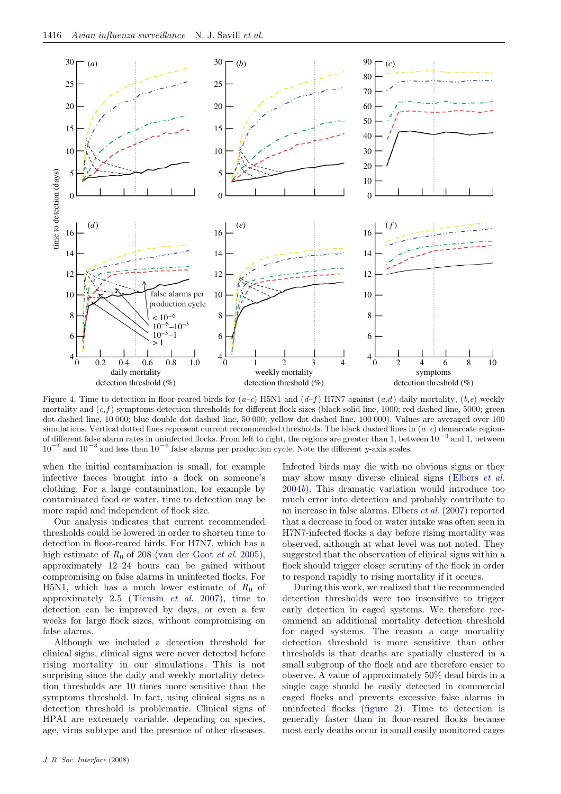<span id="page-8-0"></span>

Figure 4. Time to detection in floor-reared birds for  $(a-c)$  H5N1 and  $(d-f)$  H7N7 against  $(a,d)$  daily mortality,  $(b,e)$  weekly mortality and  $(c, f)$  symptoms detection thresholds for different flock sizes (black solid line, 1000; red dashed line, 5000; green dot-dashed line, 10 000; blue double dot-dashed line, 50 000; yellow dot-dashed line, 100 000). Values are averaged over 100 simulations. Vertical dotted lines represent current recommended thresholds. The black dashed lines in  $(a-e)$  demarcate regions of different false alarm rates in uninfected flocks. From left to right, the regions are greater than 1, between  $10^{-3}$  and 1, between  $10^{-6}$  and  $10^{-3}$  and less than  $10^{-6}$  false alarms per production cycle. Note the different y-axis scales.

when the initial contamination is small, for example infective faeces brought into a flock on someone's clothing. For a large contamination, for example by contaminated food or water, time to detection may be more rapid and independent of flock size.

Our analysis indicates that current recommended thresholds could be lowered in order to shorten time to detection in floor-reared birds. For H7N7, which has a high estimate of  $R_0$  of 208 ([van der Goot](#page-11-0) *et al.* 2005), approximately 12–24 hours can be gained without compromising on false alarms in uninfected flocks. For H5N1, which has a much lower estimate of  $R_0$  of approximately  $2.5$  ([Tiensin](#page-11-0) et al. 2007), time to detection can be improved by days, or even a few weeks for large flock sizes, without compromising on false alarms.

Although we included a detection threshold for clinical signs, clinical signs were never detected before rising mortality in our simulations. This is not surprising since the daily and weekly mortality detection thresholds are 10 times more sensitive than the symptoms threshold. In fact, using clinical signs as a detection threshold is problematic. Clinical signs of HPAI are extremely variable, depending on species, age, virus subtype and the presence of other diseases.

[2004](#page-11-0)b). This dramatic variation would introduce too much error into detection and probably contribute to an increase in false alarms. Elbers et al[. \(2007\)](#page-11-0) reported that a decrease in food or water intake was often seen in H7N7-infected flocks a day before rising mortality was observed, although at what level was not noted. They suggested that the observation of clinical signs within a flock should trigger closer scrutiny of the flock in order to respond rapidly to rising mortality if it occurs. During this work, we realized that the recommended

Infected birds may die with no obvious signs or they may show many diverse clinical signs ([Elbers](#page-11-0) *et al.*)

detection thresholds were too insensitive to trigger early detection in caged systems. We therefore recommend an additional mortality detection threshold for caged systems. The reason a cage mortality detection threshold is more sensitive than other thresholds is that deaths are spatially clustered in a small subgroup of the flock and are therefore easier to observe. A value of approximately 50% dead birds in a single cage should be easily detected in commercial caged flocks and prevents excessive false alarms in uninfected flocks ([figure 2](#page-5-0)). Time to detection is generally faster than in floor-reared flocks because most early deaths occur in small easily monitored cages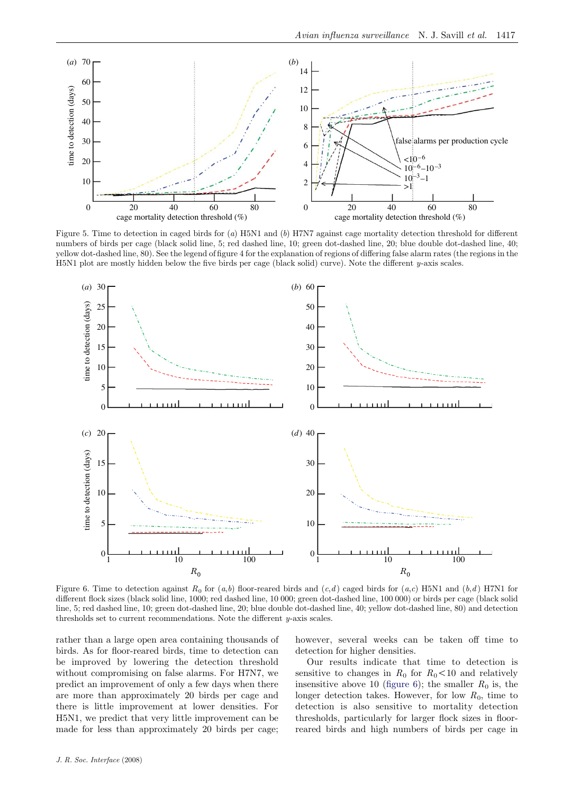<span id="page-9-0"></span>

Figure 5. Time to detection in caged birds for (a) H5N1 and (b) H7N7 against cage mortality detection threshold for different numbers of birds per cage (black solid line, 5; red dashed line, 10; green dot-dashed line, 20; blue double dot-dashed line, 40; yellow dot-dashed line, 80). See the legend of figure 4 for the explanation of regions of differing false alarm rates (the regions in the H5N1 plot are mostly hidden below the five birds per cage (black solid) curve). Note the different y-axis scales.



Figure 6. Time to detection against  $R_0$  for  $(a,b)$  floor-reared birds and  $(c,d)$  caged birds for  $(a,c)$  H5N1 and  $(b,d)$  H7N1 for different flock sizes (black solid line, 1000; red dashed line, 10 000; green dot-dashed line, 100 000) or birds per cage (black solid line, 5; red dashed line, 10; green dot-dashed line, 20; blue double dot-dashed line, 40; yellow dot-dashed line, 80) and detection thresholds set to current recommendations. Note the different y-axis scales.

rather than a large open area containing thousands of birds. As for floor-reared birds, time to detection can be improved by lowering the detection threshold without compromising on false alarms. For H7N7, we predict an improvement of only a few days when there are more than approximately 20 birds per cage and there is little improvement at lower densities. For H5N1, we predict that very little improvement can be made for less than approximately 20 birds per cage; however, several weeks can be taken off time to detection for higher densities.

Our results indicate that time to detection is sensitive to changes in  $R_0$  for  $R_0 < 10$  and relatively insensitive above 10 (figure 6); the smaller  $R_0$  is, the longer detection takes. However, for low  $R_0$ , time to detection is also sensitive to mortality detection thresholds, particularly for larger flock sizes in floorreared birds and high numbers of birds per cage in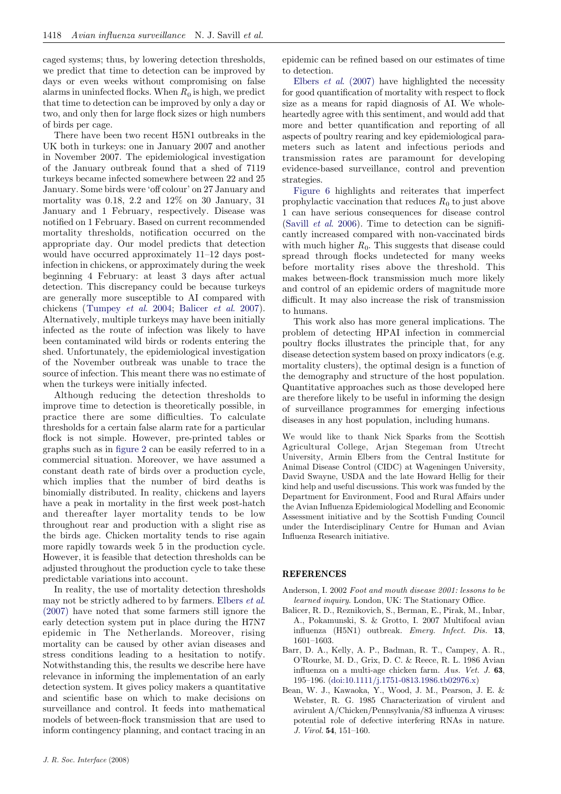<span id="page-10-0"></span>caged systems; thus, by lowering detection thresholds, we predict that time to detection can be improved by days or even weeks without compromising on false alarms in uninfected flocks. When  $R_0$  is high, we predict that time to detection can be improved by only a day or two, and only then for large flock sizes or high numbers of birds per cage.

There have been two recent H5N1 outbreaks in the UK both in turkeys: one in January 2007 and another in November 2007. The epidemiological investigation of the January outbreak found that a shed of 7119 turkeys became infected somewhere between 22 and 25 January. Some birds were 'off colour' on 27 January and mortality was  $0.18$ ,  $2.2$  and  $12\%$  on 30 January, 31 January and 1 February, respectively. Disease was notified on 1 February. Based on current recommended mortality thresholds, notification occurred on the appropriate day. Our model predicts that detection would have occurred approximately 11–12 days postinfection in chickens, or approximately during the week beginning 4 February: at least 3 days after actual detection. This discrepancy could be because turkeys are generally more susceptible to AI compared with chickens ([Tumpey](#page-11-0) et al. 2004; Balicer et al. 2007). Alternatively, multiple turkeys may have been initially infected as the route of infection was likely to have been contaminated wild birds or rodents entering the shed. Unfortunately, the epidemiological investigation of the November outbreak was unable to trace the source of infection. This meant there was no estimate of when the turkeys were initially infected.

Although reducing the detection thresholds to improve time to detection is theoretically possible, in practice there are some difficulties. To calculate thresholds for a certain false alarm rate for a particular flock is not simple. However, pre-printed tables or graphs such as in [figure 2](#page-5-0) can be easily referred to in a commercial situation. Moreover, we have assumed a constant death rate of birds over a production cycle, which implies that the number of bird deaths is binomially distributed. In reality, chickens and layers have a peak in mortality in the first week post-hatch and thereafter layer mortality tends to be low throughout rear and production with a slight rise as the birds age. Chicken mortality tends to rise again more rapidly towards week 5 in the production cycle. However, it is feasible that detection thresholds can be adjusted throughout the production cycle to take these predictable variations into account.

In reality, the use of mortality detection thresholds may not be strictly adhered to by farmers. [Elbers](#page-11-0) *et al.* [\(2007\)](#page-11-0) have noted that some farmers still ignore the early detection system put in place during the H7N7 epidemic in The Netherlands. Moreover, rising mortality can be caused by other avian diseases and stress conditions leading to a hesitation to notify. Notwithstanding this, the results we describe here have relevance in informing the implementation of an early detection system. It gives policy makers a quantitative and scientific base on which to make decisions on surveillance and control. It feeds into mathematical models of between-flock transmission that are used to inform contingency planning, and contact tracing in an

epidemic can be refined based on our estimates of time to detection.

Elbers et al[. \(2007\)](#page-11-0) have highlighted the necessity for good quantification of mortality with respect to flock size as a means for rapid diagnosis of AI. We wholeheartedly agree with this sentiment, and would add that more and better quantification and reporting of all aspects of poultry rearing and key epidemiological parameters such as latent and infectious periods and transmission rates are paramount for developing evidence-based surveillance, control and prevention strategies.

[Figure 6](#page-9-0) highlights and reiterates that imperfect prophylactic vaccination that reduces  $R_0$  to just above 1 can have serious consequences for disease control (Savill et al[. 2006](#page-11-0)). Time to detection can be significantly increased compared with non-vaccinated birds with much higher  $R_0$ . This suggests that disease could spread through flocks undetected for many weeks before mortality rises above the threshold. This makes between-flock transmission much more likely and control of an epidemic orders of magnitude more difficult. It may also increase the risk of transmission to humans.

This work also has more general implications. The problem of detecting HPAI infection in commercial poultry flocks illustrates the principle that, for any disease detection system based on proxy indicators (e.g. mortality clusters), the optimal design is a function of the demography and structure of the host population. Quantitative approaches such as those developed here are therefore likely to be useful in informing the design of surveillance programmes for emerging infectious diseases in any host population, including humans.

We would like to thank Nick Sparks from the Scottish Agricultural College, Arjan Stegeman from Utrecht University, Armin Elbers from the Central Institute for Animal Disease Control (CIDC) at Wageningen University, David Swayne, USDA and the late Howard Hellig for their kind help and useful discussions. This work was funded by the Department for Environment, Food and Rural Affairs under the Avian Influenza Epidemiological Modelling and Economic Assessment initiative and by the Scottish Funding Council under the Interdisciplinary Centre for Human and Avian Influenza Research initiative.

#### REFERENCES

- Anderson, I. 2002 Foot and mouth disease 2001: lessons to be learned inquiry. London, UK: The Stationary Office.
- Balicer, R. D., Reznikovich, S., Berman, E., Pirak, M., Inbar, A., Pokamunski, S. & Grotto, I. 2007 Multifocal avian influenza (H5N1) outbreak. Emerg. Infect. Dis. 13, 1601–1603.
- Barr, D. A., Kelly, A. P., Badman, R. T., Campey, A. R., O'Rourke, M. D., Grix, D. C. & Reece, R. L. 1986 Avian influenza on a multi-age chicken farm. Aus. Vet. J. 63, 195–196. [\(doi:10.1111/j.1751-0813.1986.tb02976.x\)](http://dx.doi.org/doi:10.1111/j.1751-0813.1986.tb02976.x)
- Bean, W. J., Kawaoka, Y., Wood, J. M., Pearson, J. E. & Webster, R. G. 1985 Characterization of virulent and avirulent A/Chicken/Pennsylvania/83 influenza A viruses: potential role of defective interfering RNAs in nature. J. Virol. 54, 151–160.